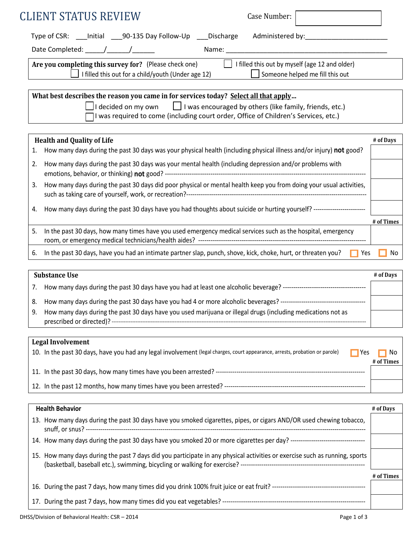| <b>CLIENT STATUS REVIEW</b>                                                                                                                                                                                                                                       | Case Number:                                          |
|-------------------------------------------------------------------------------------------------------------------------------------------------------------------------------------------------------------------------------------------------------------------|-------------------------------------------------------|
| Type of CSR: ____ Initial ____90-135 Day Follow-Up ____ Discharge                                                                                                                                                                                                 |                                                       |
|                                                                                                                                                                                                                                                                   |                                                       |
| Are you completing this survey for? (Please check one)                                                                                                                                                                                                            | $\Box$ I filled this out by myself (age 12 and older) |
| I filled this out for a child/youth (Under age 12)                                                                                                                                                                                                                | Someone helped me fill this out                       |
| What best describes the reason you came in for services today? Select all that apply<br>I decided on my own $\Box$ I was encouraged by others (like family, friends, etc.)<br>I was required to come (including court order, Office of Children's Services, etc.) |                                                       |
| <b>Health and Quality of Life</b>                                                                                                                                                                                                                                 | # of Days                                             |
| How many days during the past 30 days was your physical health (including physical illness and/or injury) not good?<br>1.                                                                                                                                         |                                                       |
| How many days during the past 30 days was your mental health (including depression and/or problems with<br>2.                                                                                                                                                     |                                                       |
| How many days during the past 30 days did poor physical or mental health keep you from doing your usual activities,<br>3.                                                                                                                                         |                                                       |
| How many days during the past 30 days have you had thoughts about suicide or hurting yourself? ----------------------<br>4.                                                                                                                                       |                                                       |
| In the past 30 days, how many times have you used emergency medical services such as the hospital, emergency<br>-5.                                                                                                                                               | # of Times                                            |
| In the past 30 days, have you had an intimate partner slap, punch, shove, kick, choke, hurt, or threaten you?<br>6.                                                                                                                                               | No<br>$\blacksquare$ Yes                              |
| <b>Substance Use</b>                                                                                                                                                                                                                                              | # of Days                                             |
| 7.                                                                                                                                                                                                                                                                |                                                       |
| How many days during the past 30 days have you had 4 or more alcoholic beverages? ----------------------------------<br>8.                                                                                                                                        |                                                       |
| How many days during the past 30 days have you used marijuana or illegal drugs (including medications not as<br>9.                                                                                                                                                |                                                       |
|                                                                                                                                                                                                                                                                   |                                                       |
| <b>Legal Involvement</b><br>10. In the past 30 days, have you had any legal involvement (legal charges, court appearance, arrests, probation or parole)                                                                                                           | No<br>$\blacksquare$ Yes<br># of Times                |
|                                                                                                                                                                                                                                                                   |                                                       |
|                                                                                                                                                                                                                                                                   |                                                       |
| <b>Health Behavior</b>                                                                                                                                                                                                                                            | # of Days                                             |
| 13. How many days during the past 30 days have you smoked cigarettes, pipes, or cigars AND/OR used chewing tobacco,                                                                                                                                               |                                                       |
|                                                                                                                                                                                                                                                                   |                                                       |
| 15. How many days during the past 7 days did you participate in any physical activities or exercise such as running, sports                                                                                                                                       |                                                       |

|                                                                                                  | # of Times |
|--------------------------------------------------------------------------------------------------|------------|
| 16. During the past 7 days, how many times did you drink 100% fruit juice or eat fruit? -------- |            |
| 17. During the past 7 days, how many times did you eat vegetables? ----                          |            |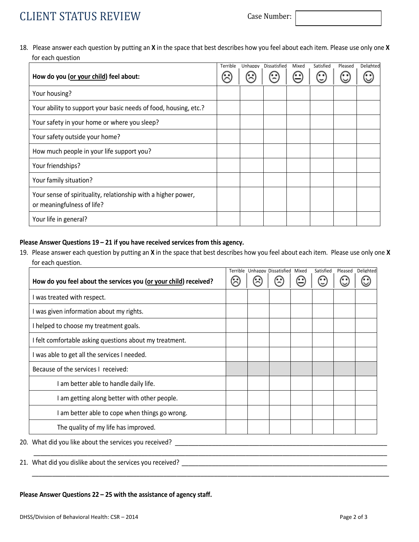## CLIENT STATUS REVIEW Case Number:

18. Please answer each question by putting an **X** in the space that best describes how you feel about each item. Please use only one **X** for each question

|                                                                                             | Terrible | Unhappy | Dissatisfied | Mixed | Satisfied | Pleased | Delighted |
|---------------------------------------------------------------------------------------------|----------|---------|--------------|-------|-----------|---------|-----------|
| How do you (or your child) feel about:                                                      |          |         |              |       |           |         |           |
| Your housing?                                                                               |          |         |              |       |           |         |           |
| Your ability to support your basic needs of food, housing, etc.?                            |          |         |              |       |           |         |           |
| Your safety in your home or where you sleep?                                                |          |         |              |       |           |         |           |
| Your safety outside your home?                                                              |          |         |              |       |           |         |           |
| How much people in your life support you?                                                   |          |         |              |       |           |         |           |
| Your friendships?                                                                           |          |         |              |       |           |         |           |
| Your family situation?                                                                      |          |         |              |       |           |         |           |
| Your sense of spirituality, relationship with a higher power,<br>or meaningfulness of life? |          |         |              |       |           |         |           |
| Your life in general?                                                                       |          |         |              |       |           |         |           |

## **Please Answer Questions 19 – 21 if you have received services from this agency.**

19. Please answer each question by putting an **X** in the space that best describes how you feel about each item. Please use only one **X** for each question.

|                                                                  |  | Terrible Unhappy Dissatisfied | Mixed | Satisfied | Pleased | <b>Delighted</b> |
|------------------------------------------------------------------|--|-------------------------------|-------|-----------|---------|------------------|
| How do you feel about the services you (or your child) received? |  |                               |       |           |         |                  |
| I was treated with respect.                                      |  |                               |       |           |         |                  |
| I was given information about my rights.                         |  |                               |       |           |         |                  |
| I helped to choose my treatment goals.                           |  |                               |       |           |         |                  |
| I felt comfortable asking questions about my treatment.          |  |                               |       |           |         |                  |
| I was able to get all the services I needed.                     |  |                               |       |           |         |                  |
| Because of the services I received:                              |  |                               |       |           |         |                  |
| I am better able to handle daily life.                           |  |                               |       |           |         |                  |
| I am getting along better with other people.                     |  |                               |       |           |         |                  |
| I am better able to cope when things go wrong.                   |  |                               |       |           |         |                  |
| The quality of my life has improved.                             |  |                               |       |           |         |                  |

20. What did you like about the services you received? \_\_\_\_\_\_\_\_\_\_\_\_\_\_\_\_\_\_\_\_\_\_\_\_\_\_\_\_\_\_\_\_\_\_\_\_\_\_\_\_\_\_\_\_\_\_\_\_\_\_\_\_\_\_\_\_\_\_\_\_\_\_\_

21. What did you dislike about the services you received? \_\_\_\_\_\_\_\_\_\_\_\_\_\_\_\_\_\_\_\_\_\_\_\_\_\_\_\_\_\_\_\_\_\_\_\_\_\_\_\_\_\_\_\_\_\_\_\_\_\_\_\_\_\_\_\_\_\_\_\_\_

## **Please Answer Questions 22 – 25 with the assistance of agency staff.**